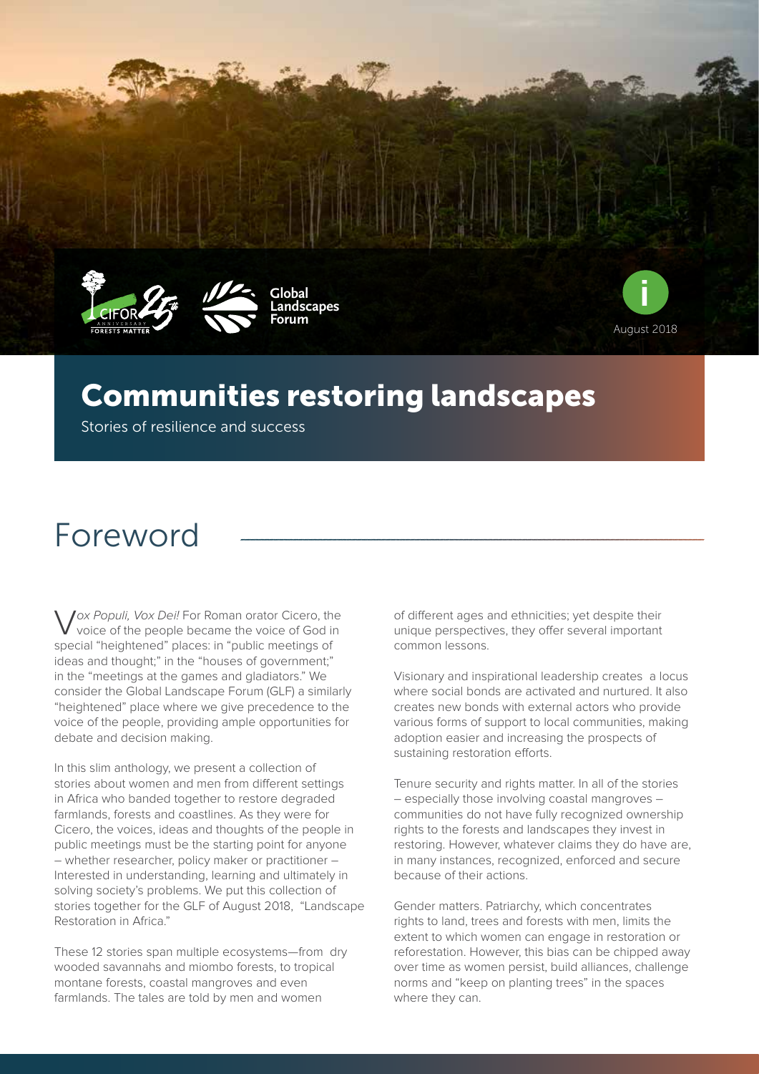







## Communities restoring landscapes

Stories of resilience and success

# Foreword

Vox Populi, Vox Dei! For Roman orator Cicero, the voice of the people became the voice of God in special "heightened" places: in "public meetings of ideas and thought;" in the "houses of government;" in the "meetings at the games and gladiators." We consider the Global Landscape Forum (GLF) a similarly "heightened" place where we give precedence to the voice of the people, providing ample opportunities for debate and decision making.

In this slim anthology, we present a collection of stories about women and men from different settings in Africa who banded together to restore degraded farmlands, forests and coastlines. As they were for Cicero, the voices, ideas and thoughts of the people in public meetings must be the starting point for anyone – whether researcher, policy maker or practitioner – Interested in understanding, learning and ultimately in solving society's problems. We put this collection of stories together for the GLF of August 2018, "Landscape Restoration in Africa."

These 12 stories span multiple ecosystems—from dry wooded savannahs and miombo forests, to tropical montane forests, coastal mangroves and even farmlands. The tales are told by men and women

of different ages and ethnicities; yet despite their unique perspectives, they offer several important common lessons.

Visionary and inspirational leadership creates a locus where social bonds are activated and nurtured. It also creates new bonds with external actors who provide various forms of support to local communities, making adoption easier and increasing the prospects of sustaining restoration efforts.

Tenure security and rights matter. In all of the stories – especially those involving coastal mangroves – communities do not have fully recognized ownership rights to the forests and landscapes they invest in restoring. However, whatever claims they do have are, in many instances, recognized, enforced and secure because of their actions.

Gender matters. Patriarchy, which concentrates rights to land, trees and forests with men, limits the extent to which women can engage in restoration or reforestation. However, this bias can be chipped away over time as women persist, build alliances, challenge norms and "keep on planting trees" in the spaces where they can.